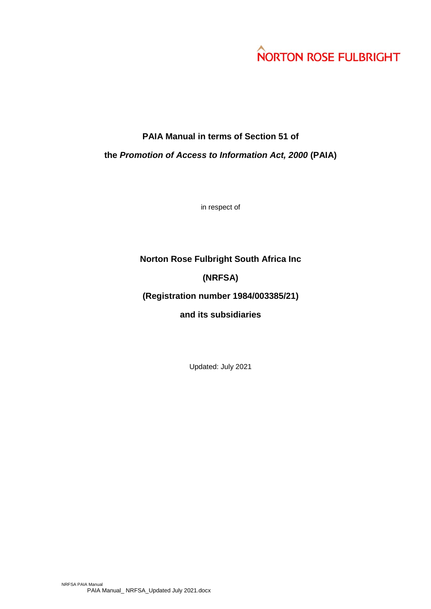# **NORTON ROSE FULBRIGHT**

# **PAIA Manual in terms of Section 51 of**

**the** *Promotion of Access to Information Act, 2000* **(PAIA)**

in respect of

## **Norton Rose Fulbright South Africa Inc**

## **(NRFSA)**

## **(Registration number 1984/003385/21)**

## **and its subsidiaries**

Updated: July 2021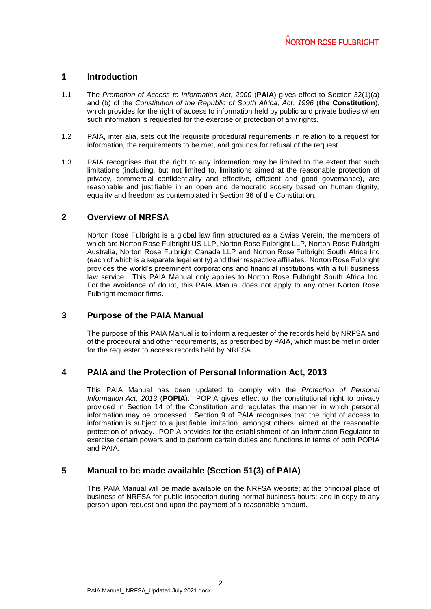#### **1 Introduction**

- 1.1 The *Promotion of Access to Information Act*, *2000* (**PAIA**) gives effect to Section 32(1)(a) and (b) of the *Constitution of the Republic of South Africa, Act*, *1996* (**the Constitution**), which provides for the right of access to information held by public and private bodies when such information is requested for the exercise or protection of any rights.
- 1.2 PAIA, inter alia, sets out the requisite procedural requirements in relation to a request for information, the requirements to be met, and grounds for refusal of the request.
- 1.3 PAIA recognises that the right to any information may be limited to the extent that such limitations (including, but not limited to, limitations aimed at the reasonable protection of privacy, commercial confidentiality and effective, efficient and good governance), are reasonable and justifiable in an open and democratic society based on human dignity, equality and freedom as contemplated in Section 36 of the Constitution.

#### **2 Overview of NRFSA**

Norton Rose Fulbright is a global law firm structured as a Swiss Verein, the members of which are Norton Rose Fulbright US LLP, Norton Rose Fulbright LLP, Norton Rose Fulbright Australia, Norton Rose Fulbright Canada LLP and Norton Rose Fulbright South Africa Inc (each of which is a separate legal entity) and their respective affiliates. Norton Rose Fulbright provides the world's preeminent corporations and financial institutions with a full business law service. This PAIA Manual only applies to Norton Rose Fulbright South Africa Inc. For the avoidance of doubt, this PAIA Manual does not apply to any other Norton Rose Fulbright member firms.

#### **3 Purpose of the PAIA Manual**

The purpose of this PAIA Manual is to inform a requester of the records held by NRFSA and of the procedural and other requirements, as prescribed by PAIA, which must be met in order for the requester to access records held by NRFSA.

#### **4 PAIA and the Protection of Personal Information Act, 2013**

This PAIA Manual has been updated to comply with the *Protection of Personal Information Act, 2013* (**POPIA**). POPIA gives effect to the constitutional right to privacy provided in Section 14 of the Constitution and regulates the manner in which personal information may be processed. Section 9 of PAIA recognises that the right of access to information is subject to a justifiable limitation, amongst others, aimed at the reasonable protection of privacy. POPIA provides for the establishment of an Information Regulator to exercise certain powers and to perform certain duties and functions in terms of both POPIA and PAIA.

#### **5 Manual to be made available (Section 51(3) of PAIA)**

This PAIA Manual will be made available on the NRFSA website; at the principal place of business of NRFSA for public inspection during normal business hours; and in copy to any person upon request and upon the payment of a reasonable amount.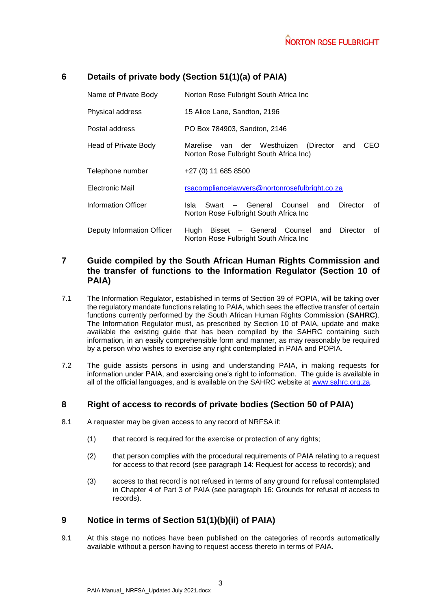## **6 Details of private body (Section 51(1)(a) of PAIA)**

| Name of Private Body       | Norton Rose Fulbright South Africa Inc                                                             |  |  |  |  |  |  |
|----------------------------|----------------------------------------------------------------------------------------------------|--|--|--|--|--|--|
| Physical address           | 15 Alice Lane, Sandton, 2196                                                                       |  |  |  |  |  |  |
| Postal address             | PO Box 784903, Sandton, 2146                                                                       |  |  |  |  |  |  |
| Head of Private Body       | CEO<br>Marelise van der Westhuizen<br>(Director<br>and<br>Norton Rose Fulbright South Africa Inc)  |  |  |  |  |  |  |
| Telephone number           | $+27(0)$ 11 685 8500                                                                               |  |  |  |  |  |  |
| Electronic Mail            | rsacompliancelawyers@nortonrosefulbright.co.za                                                     |  |  |  |  |  |  |
| Information Officer        | Swart - General Counsel<br>Isla<br>Director<br>and<br>0f<br>Norton Rose Fulbright South Africa Inc |  |  |  |  |  |  |
| Deputy Information Officer | Hugh Bisset - General Counsel<br>Director<br>and<br>0f<br>Norton Rose Fulbright South Africa Inc   |  |  |  |  |  |  |

## **7 Guide compiled by the South African Human Rights Commission and the transfer of functions to the Information Regulator (Section 10 of PAIA)**

- 7.1 The Information Regulator, established in terms of Section 39 of POPIA, will be taking over the regulatory mandate functions relating to PAIA, which sees the effective transfer of certain functions currently performed by the South African Human Rights Commission (**SAHRC**). The Information Regulator must, as prescribed by Section 10 of PAIA, update and make available the existing guide that has been compiled by the SAHRC containing such information, in an easily comprehensible form and manner, as may reasonably be required by a person who wishes to exercise any right contemplated in PAIA and POPIA.
- 7.2 The guide assists persons in using and understanding PAIA, in making requests for information under PAIA, and exercising one's right to information. The guide is available in all of the official languages, and is available on the SAHRC website at [www.sahrc.org.za.](http://www.sahrc.org.za/)

#### **8 Right of access to records of private bodies (Section 50 of PAIA)**

- 8.1 A requester may be given access to any record of NRFSA if:
	- (1) that record is required for the exercise or protection of any rights;
	- (2) that person complies with the procedural requirements of PAIA relating to a request for access to that record (see paragraph [14:](#page-5-0) Request for access to records); and
	- (3) access to that record is not refused in terms of any ground for refusal contemplated in Chapter 4 of Part 3 of PAIA (see paragraph [16:](#page-6-0) Grounds for refusal of access to records).

## **9 Notice in terms of Section 51(1)(b)(ii) of PAIA)**

9.1 At this stage no notices have been published on the categories of records automatically available without a person having to request access thereto in terms of PAIA.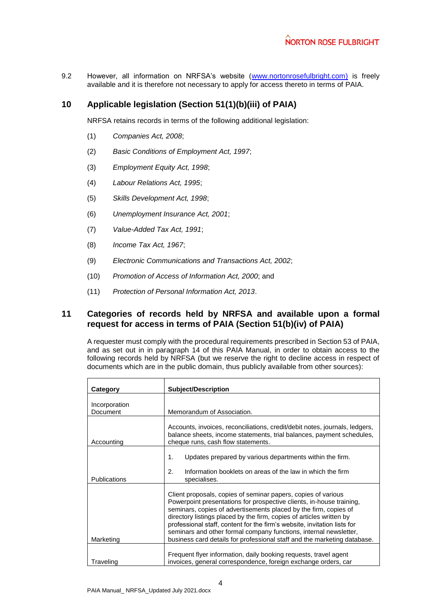9.2 However, all information on NRFSA's website [\(www.nortonrosefulbright.com\)](http://www.nortonrosefulbright.com/) is freely available and it is therefore not necessary to apply for access thereto in terms of PAIA.

## **10 Applicable legislation (Section 51(1)(b)(iii) of PAIA)**

NRFSA retains records in terms of the following additional legislation:

- (1) *Companies Act, 2008*;
- (2) *Basic Conditions of Employment Act, 1997*;
- (3) *Employment Equity Act, 1998*;
- (4) *Labour Relations Act, 1995*;
- (5) *Skills Development Act, 1998*;
- (6) *Unemployment Insurance Act, 2001*;
- (7) *Value-Added Tax Act, 1991*;
- (8) *Income Tax Act, 1967*;
- (9) *Electronic Communications and Transactions Act, 2002*;
- (10) *Promotion of Access of Information Act, 2000*; and
- (11) *Protection of Personal Information Act, 2013*.

#### <span id="page-3-0"></span>**11 Categories of records held by NRFSA and available upon a formal request for access in terms of PAIA (Section 51(b)(iv) of PAIA)**

A requester must comply with the procedural requirements prescribed in Section 53 of PAIA, and as set out in in paragraph [14](#page-5-0) of this PAIA Manual, in order to obtain access to the following records held by NRFSA (but we reserve the right to decline access in respect of documents which are in the public domain, thus publicly available from other sources):

| Category                  | <b>Subject/Description</b>                                                                                                                                                                                                                                                                                                                                                                                                                                                                                     |  |  |  |
|---------------------------|----------------------------------------------------------------------------------------------------------------------------------------------------------------------------------------------------------------------------------------------------------------------------------------------------------------------------------------------------------------------------------------------------------------------------------------------------------------------------------------------------------------|--|--|--|
| Incorporation<br>Document | Memorandum of Association.                                                                                                                                                                                                                                                                                                                                                                                                                                                                                     |  |  |  |
| Accounting                | Accounts, invoices, reconciliations, credit/debit notes, journals, ledgers,<br>balance sheets, income statements, trial balances, payment schedules,<br>cheque runs, cash flow statements.                                                                                                                                                                                                                                                                                                                     |  |  |  |
| <b>Publications</b>       | Updates prepared by various departments within the firm.<br>1.<br>2.<br>Information booklets on areas of the law in which the firm<br>specialises.                                                                                                                                                                                                                                                                                                                                                             |  |  |  |
| Marketing                 | Client proposals, copies of seminar papers, copies of various<br>Powerpoint presentations for prospective clients, in-house training,<br>seminars, copies of advertisements placed by the firm, copies of<br>directory listings placed by the firm, copies of articles written by<br>professional staff, content for the firm's website, invitation lists for<br>seminars and other formal company functions, internal newsletter,<br>business card details for professional staff and the marketing database. |  |  |  |
| Traveling                 | Frequent flyer information, daily booking requests, travel agent<br>invoices, general correspondence, foreign exchange orders, car                                                                                                                                                                                                                                                                                                                                                                             |  |  |  |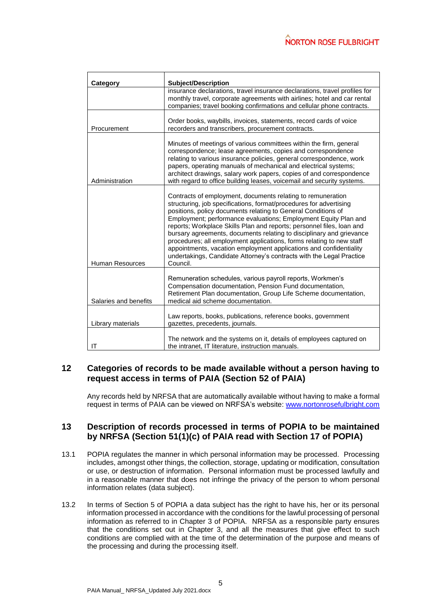| <b>Category</b>       | <b>Subject/Description</b>                                                                                                                                                                                                                                                                                                                                                                                                                                                                                                                                                                                                                               |
|-----------------------|----------------------------------------------------------------------------------------------------------------------------------------------------------------------------------------------------------------------------------------------------------------------------------------------------------------------------------------------------------------------------------------------------------------------------------------------------------------------------------------------------------------------------------------------------------------------------------------------------------------------------------------------------------|
|                       | insurance declarations, travel insurance declarations, travel profiles for<br>monthly travel, corporate agreements with airlines; hotel and car rental<br>companies; travel booking confirmations and cellular phone contracts.                                                                                                                                                                                                                                                                                                                                                                                                                          |
| Procurement           | Order books, waybills, invoices, statements, record cards of voice<br>recorders and transcribers, procurement contracts.                                                                                                                                                                                                                                                                                                                                                                                                                                                                                                                                 |
| Administration        | Minutes of meetings of various committees within the firm, general<br>correspondence; lease agreements, copies and correspondence<br>relating to various insurance policies, general correspondence, work<br>papers, operating manuals of mechanical and electrical systems;<br>architect drawings, salary work papers, copies of and correspondence<br>with regard to office building leases, voicemail and security systems.                                                                                                                                                                                                                           |
| Human Resources       | Contracts of employment, documents relating to remuneration<br>structuring, job specifications, format/procedures for advertising<br>positions, policy documents relating to General Conditions of<br>Employment; performance evaluations; Employment Equity Plan and<br>reports; Workplace Skills Plan and reports; personnel files, loan and<br>bursary agreements, documents relating to disciplinary and grievance<br>procedures; all employment applications, forms relating to new staff<br>appointments, vacation employment applications and confidentiality<br>undertakings, Candidate Attorney's contracts with the Legal Practice<br>Council. |
| Salaries and benefits | Remuneration schedules, various payroll reports, Workmen's<br>Compensation documentation, Pension Fund documentation,<br>Retirement Plan documentation, Group Life Scheme documentation,<br>medical aid scheme documentation.                                                                                                                                                                                                                                                                                                                                                                                                                            |
| Library materials     | Law reports, books, publications, reference books, government<br>gazettes, precedents, journals.                                                                                                                                                                                                                                                                                                                                                                                                                                                                                                                                                         |
| ΙT                    | The network and the systems on it, details of employees captured on<br>the intranet, IT literature, instruction manuals.                                                                                                                                                                                                                                                                                                                                                                                                                                                                                                                                 |

#### **12 Categories of records to be made available without a person having to request access in terms of PAIA (Section 52 of PAIA)**

Any records held by NRFSA that are automatically available without having to make a formal request in terms of PAIA can be viewed on NRFSA's website: [www.nortonrosefulbright.com](http://www.nortonrosefulbright.com/)

#### **13 Description of records processed in terms of POPIA to be maintained by NRFSA (Section 51(1)(c) of PAIA read with Section 17 of POPIA)**

- 13.1 POPIA regulates the manner in which personal information may be processed. Processing includes, amongst other things, the collection, storage, updating or modification, consultation or use, or destruction of information. Personal information must be processed lawfully and in a reasonable manner that does not infringe the privacy of the person to whom personal information relates (data subject).
- 13.2 In terms of Section 5 of POPIA a data subject has the right to have his, her or its personal information processed in accordance with the conditions for the lawful processing of personal information as referred to in Chapter 3 of POPIA. NRFSA as a responsible party ensures that the conditions set out in Chapter 3, and all the measures that give effect to such conditions are complied with at the time of the determination of the purpose and means of the processing and during the processing itself.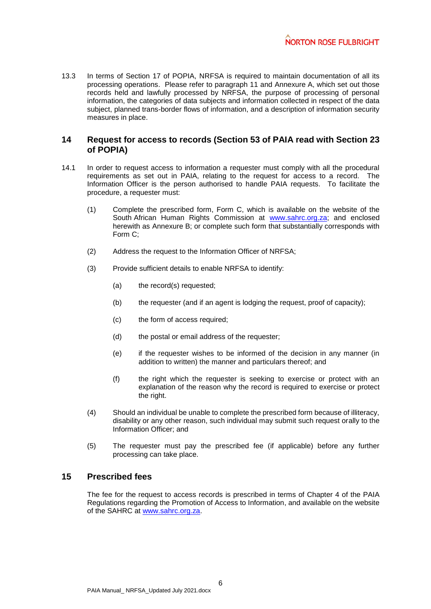13.3 In terms of Section 17 of POPIA, NRFSA is required to maintain documentation of all its processing operations. Please refer to paragraph [11](#page-3-0) and [Annexure](#page-8-0) A, which set out those records held and lawfully processed by NRFSA, the purpose of processing of personal information, the categories of data subjects and information collected in respect of the data subject, planned trans-border flows of information, and a description of information security measures in place.

#### <span id="page-5-0"></span>**14 Request for access to records (Section 53 of PAIA read with Section 23 of POPIA)**

- 14.1 In order to request access to information a requester must comply with all the procedural requirements as set out in PAIA, relating to the request for access to a record. The Information Officer is the person authorised to handle PAIA requests. To facilitate the procedure, a requester must:
	- (1) Complete the prescribed form, Form C, which is available on the website of the South African Human Rights Commission at [www.sahrc.org.za;](http://www.sahrc.org.za/) and enclosed herewith as [Annexure](#page-13-0) B; or complete such form that substantially corresponds with Form C;
	- (2) Address the request to the Information Officer of NRFSA;
	- (3) Provide sufficient details to enable NRFSA to identify:
		- (a) the record(s) requested;
		- (b) the requester (and if an agent is lodging the request, proof of capacity);
		- (c) the form of access required;
		- (d) the postal or email address of the requester;
		- (e) if the requester wishes to be informed of the decision in any manner (in addition to written) the manner and particulars thereof; and
		- (f) the right which the requester is seeking to exercise or protect with an explanation of the reason why the record is required to exercise or protect the right.
	- (4) Should an individual be unable to complete the prescribed form because of illiteracy, disability or any other reason, such individual may submit such request orally to the Information Officer; and
	- (5) The requester must pay the prescribed fee (if applicable) before any further processing can take place.

#### **15 Prescribed fees**

The fee for the request to access records is prescribed in terms of Chapter 4 of the PAIA Regulations regarding the Promotion of Access to Information, and available on the website of the SAHRC at [www.sahrc.org.za.](http://www.sahrc.org.za/)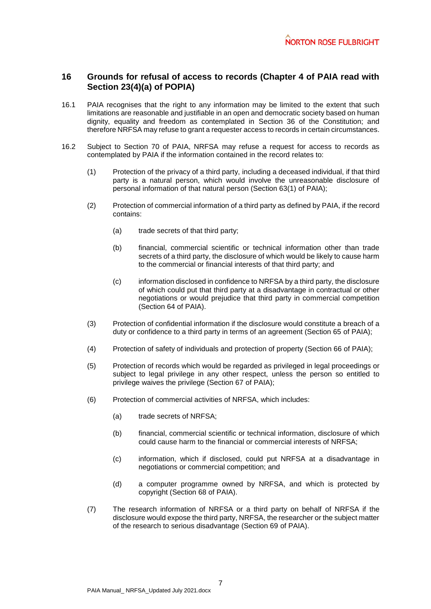## <span id="page-6-0"></span>**16 Grounds for refusal of access to records (Chapter 4 of PAIA read with Section 23(4)(a) of POPIA)**

- 16.1 PAIA recognises that the right to any information may be limited to the extent that such limitations are reasonable and justifiable in an open and democratic society based on human dignity, equality and freedom as contemplated in Section 36 of the Constitution; and therefore NRFSA may refuse to grant a requester access to records in certain circumstances.
- 16.2 Subject to Section 70 of PAIA, NRFSA may refuse a request for access to records as contemplated by PAIA if the information contained in the record relates to:
	- (1) Protection of the privacy of a third party, including a deceased individual, if that third party is a natural person, which would involve the unreasonable disclosure of personal information of that natural person (Section 63(1) of PAIA);
	- (2) Protection of commercial information of a third party as defined by PAIA, if the record contains:
		- (a) trade secrets of that third party;
		- (b) financial, commercial scientific or technical information other than trade secrets of a third party, the disclosure of which would be likely to cause harm to the commercial or financial interests of that third party; and
		- (c) information disclosed in confidence to NRFSA by a third party, the disclosure of which could put that third party at a disadvantage in contractual or other negotiations or would prejudice that third party in commercial competition (Section 64 of PAIA).
	- (3) Protection of confidential information if the disclosure would constitute a breach of a duty or confidence to a third party in terms of an agreement (Section 65 of PAIA);
	- (4) Protection of safety of individuals and protection of property (Section 66 of PAIA);
	- (5) Protection of records which would be regarded as privileged in legal proceedings or subject to legal privilege in any other respect, unless the person so entitled to privilege waives the privilege (Section 67 of PAIA);
	- (6) Protection of commercial activities of NRFSA, which includes:
		- (a) trade secrets of NRFSA;
		- (b) financial, commercial scientific or technical information, disclosure of which could cause harm to the financial or commercial interests of NRFSA;
		- (c) information, which if disclosed, could put NRFSA at a disadvantage in negotiations or commercial competition; and
		- (d) a computer programme owned by NRFSA, and which is protected by copyright (Section 68 of PAIA).
	- (7) The research information of NRFSA or a third party on behalf of NRFSA if the disclosure would expose the third party, NRFSA, the researcher or the subject matter of the research to serious disadvantage (Section 69 of PAIA).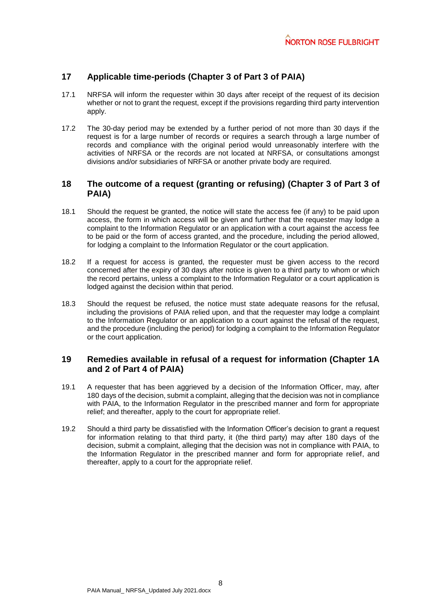## **17 Applicable time-periods (Chapter 3 of Part 3 of PAIA)**

- 17.1 NRFSA will inform the requester within 30 days after receipt of the request of its decision whether or not to grant the request, except if the provisions regarding third party intervention apply.
- 17.2 The 30-day period may be extended by a further period of not more than 30 days if the request is for a large number of records or requires a search through a large number of records and compliance with the original period would unreasonably interfere with the activities of NRFSA or the records are not located at NRFSA, or consultations amongst divisions and/or subsidiaries of NRFSA or another private body are required.

#### **18 The outcome of a request (granting or refusing) (Chapter 3 of Part 3 of PAIA)**

- 18.1 Should the request be granted, the notice will state the access fee (if any) to be paid upon access, the form in which access will be given and further that the requester may lodge a complaint to the Information Regulator or an application with a court against the access fee to be paid or the form of access granted, and the procedure, including the period allowed, for lodging a complaint to the Information Regulator or the court application.
- 18.2 If a request for access is granted, the requester must be given access to the record concerned after the expiry of 30 days after notice is given to a third party to whom or which the record pertains, unless a complaint to the Information Regulator or a court application is lodged against the decision within that period.
- 18.3 Should the request be refused, the notice must state adequate reasons for the refusal, including the provisions of PAIA relied upon, and that the requester may lodge a complaint to the Information Regulator or an application to a court against the refusal of the request, and the procedure (including the period) for lodging a complaint to the Information Regulator or the court application.

#### **19 Remedies available in refusal of a request for information (Chapter 1A and 2 of Part 4 of PAIA)**

- 19.1 A requester that has been aggrieved by a decision of the Information Officer, may, after 180 days of the decision, submit a complaint, alleging that the decision was not in compliance with PAIA, to the Information Regulator in the prescribed manner and form for appropriate relief; and thereafter, apply to the court for appropriate relief.
- 19.2 Should a third party be dissatisfied with the Information Officer's decision to grant a request for information relating to that third party, it (the third party) may after 180 days of the decision, submit a complaint, alleging that the decision was not in compliance with PAIA, to the Information Regulator in the prescribed manner and form for appropriate relief, and thereafter, apply to a court for the appropriate relief.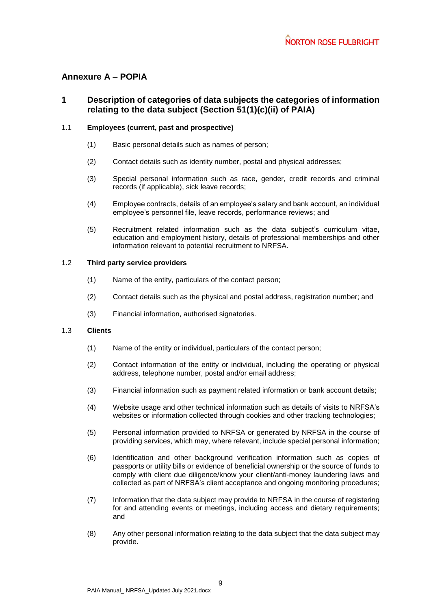## <span id="page-8-0"></span>**Annexure A – POPIA**

## **1 Description of categories of data subjects the categories of information relating to the data subject (Section 51(1)(c)(ii) of PAIA)**

#### 1.1 **Employees (current, past and prospective)**

- (1) Basic personal details such as names of person;
- (2) Contact details such as identity number, postal and physical addresses;
- (3) Special personal information such as race, gender, credit records and criminal records (if applicable), sick leave records;
- (4) Employee contracts, details of an employee's salary and bank account, an individual employee's personnel file, leave records, performance reviews; and
- (5) Recruitment related information such as the data subject's curriculum vitae, education and employment history, details of professional memberships and other information relevant to potential recruitment to NRFSA.

#### 1.2 **Third party service providers**

- (1) Name of the entity, particulars of the contact person;
- (2) Contact details such as the physical and postal address, registration number; and
- (3) Financial information, authorised signatories.

#### 1.3 **Clients**

- (1) Name of the entity or individual, particulars of the contact person;
- (2) Contact information of the entity or individual, including the operating or physical address, telephone number, postal and/or email address;
- (3) Financial information such as payment related information or bank account details;
- (4) Website usage and other technical information such as details of visits to NRFSA's websites or information collected through cookies and other tracking technologies;
- (5) Personal information provided to NRFSA or generated by NRFSA in the course of providing services, which may, where relevant, include special personal information;
- (6) Identification and other background verification information such as copies of passports or utility bills or evidence of beneficial ownership or the source of funds to comply with client due diligence/know your client/anti-money laundering laws and collected as part of NRFSA's client acceptance and ongoing monitoring procedures;
- (7) Information that the data subject may provide to NRFSA in the course of registering for and attending events or meetings, including access and dietary requirements; and
- (8) Any other personal information relating to the data subject that the data subject may provide.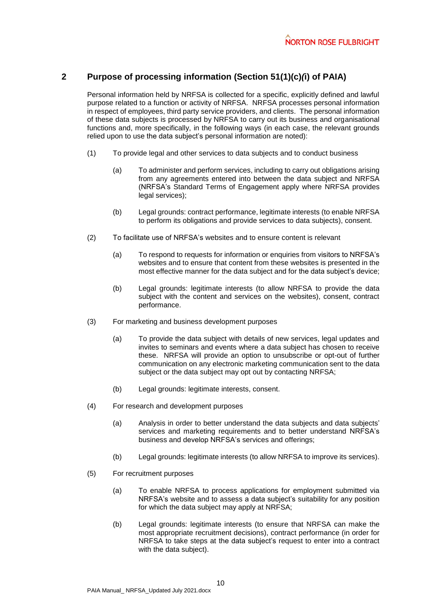### **2 Purpose of processing information (Section 51(1)(c)***(***i) of PAIA)**

Personal information held by NRFSA is collected for a specific, explicitly defined and lawful purpose related to a function or activity of NRFSA. NRFSA processes personal information in respect of employees, third party service providers, and clients. The personal information of these data subjects is processed by NRFSA to carry out its business and organisational functions and, more specifically, in the following ways (in each case, the relevant grounds relied upon to use the data subject's personal information are noted):

- (1) To provide legal and other services to data subjects and to conduct business
	- (a) To administer and perform services, including to carry out obligations arising from any agreements entered into between the data subject and NRFSA (NRFSA's Standard Terms of Engagement apply where NRFSA provides legal services);
	- (b) Legal grounds: contract performance, legitimate interests (to enable NRFSA to perform its obligations and provide services to data subjects), consent.
- (2) To facilitate use of NRFSA's websites and to ensure content is relevant
	- (a) To respond to requests for information or enquiries from visitors to NRFSA's websites and to ensure that content from these websites is presented in the most effective manner for the data subject and for the data subject's device;
	- (b) Legal grounds: legitimate interests (to allow NRFSA to provide the data subject with the content and services on the websites), consent, contract performance.
- (3) For marketing and business development purposes
	- (a) To provide the data subject with details of new services, legal updates and invites to seminars and events where a data subject has chosen to receive these. NRFSA will provide an option to unsubscribe or opt-out of further communication on any electronic marketing communication sent to the data subject or the data subject may opt out by contacting NRFSA;
	- (b) Legal grounds: legitimate interests, consent.
- (4) For research and development purposes
	- (a) Analysis in order to better understand the data subjects and data subjects' services and marketing requirements and to better understand NRFSA's business and develop NRFSA's services and offerings;
	- (b) Legal grounds: legitimate interests (to allow NRFSA to improve its services).
- (5) For recruitment purposes
	- (a) To enable NRFSA to process applications for employment submitted via NRFSA's website and to assess a data subject's suitability for any position for which the data subject may apply at NRFSA;
	- (b) Legal grounds: legitimate interests (to ensure that NRFSA can make the most appropriate recruitment decisions), contract performance (in order for NRFSA to take steps at the data subject's request to enter into a contract with the data subject).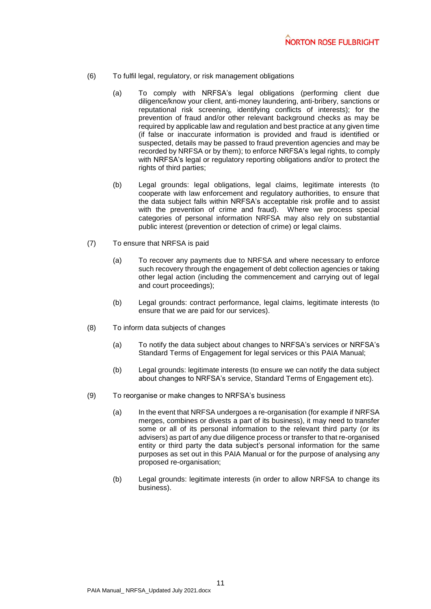- (6) To fulfil legal, regulatory, or risk management obligations
	- (a) To comply with NRFSA's legal obligations (performing client due diligence/know your client, anti-money laundering, anti-bribery, sanctions or reputational risk screening, identifying conflicts of interests); for the prevention of fraud and/or other relevant background checks as may be required by applicable law and regulation and best practice at any given time (if false or inaccurate information is provided and fraud is identified or suspected, details may be passed to fraud prevention agencies and may be recorded by NRFSA or by them); to enforce NRFSA's legal rights, to comply with NRFSA's legal or regulatory reporting obligations and/or to protect the rights of third parties;
	- (b) Legal grounds: legal obligations, legal claims, legitimate interests (to cooperate with law enforcement and regulatory authorities, to ensure that the data subject falls within NRFSA's acceptable risk profile and to assist with the prevention of crime and fraud). Where we process special categories of personal information NRFSA may also rely on substantial public interest (prevention or detection of crime) or legal claims.
- (7) To ensure that NRFSA is paid
	- (a) To recover any payments due to NRFSA and where necessary to enforce such recovery through the engagement of debt collection agencies or taking other legal action (including the commencement and carrying out of legal and court proceedings);
	- (b) Legal grounds: contract performance, legal claims, legitimate interests (to ensure that we are paid for our services).
- (8) To inform data subjects of changes
	- (a) To notify the data subject about changes to NRFSA's services or NRFSA's Standard Terms of Engagement for legal services or this PAIA Manual;
	- (b) Legal grounds: legitimate interests (to ensure we can notify the data subject about changes to NRFSA's service, Standard Terms of Engagement etc).
- (9) To reorganise or make changes to NRFSA's business
	- (a) In the event that NRFSA undergoes a re-organisation (for example if NRFSA merges, combines or divests a part of its business), it may need to transfer some or all of its personal information to the relevant third party (or its advisers) as part of any due diligence process or transfer to that re-organised entity or third party the data subject's personal information for the same purposes as set out in this PAIA Manual or for the purpose of analysing any proposed re-organisation;
	- (b) Legal grounds: legitimate interests (in order to allow NRFSA to change its business).

11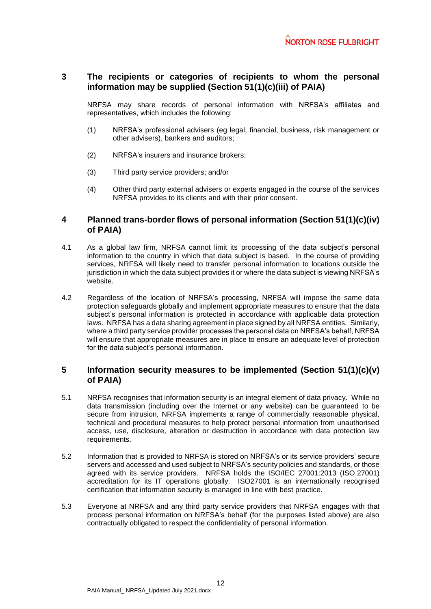## **3 The recipients or categories of recipients to whom the personal information may be supplied (Section 51(1)(c)(iii) of PAIA)**

NRFSA may share records of personal information with NRFSA's affiliates and representatives, which includes the following:

- (1) NRFSA's professional advisers (eg legal, financial, business, risk management or other advisers), bankers and auditors;
- (2) NRFSA's insurers and insurance brokers;
- (3) Third party service providers; and/or
- (4) Other third party external advisers or experts engaged in the course of the services NRFSA provides to its clients and with their prior consent.

#### **4 Planned trans-border flows of personal information (Section 51(1)(c)(iv) of PAIA)**

- 4.1 As a global law firm, NRFSA cannot limit its processing of the data subject's personal information to the country in which that data subject is based. In the course of providing services, NRFSA will likely need to transfer personal information to locations outside the jurisdiction in which the data subject provides it or where the data subject is viewing NRFSA's website.
- 4.2 Regardless of the location of NRFSA's processing, NRFSA will impose the same data protection safeguards globally and implement appropriate measures to ensure that the data subject's personal information is protected in accordance with applicable data protection laws. NRFSA has a data sharing agreement in place signed by all NRFSA entities. Similarly, where a third party service provider processes the personal data on NRFSA's behalf, NRFSA will ensure that appropriate measures are in place to ensure an adequate level of protection for the data subject's personal information.

#### **5 Information security measures to be implemented (Section 51(1)(c)(v) of PAIA)**

- 5.1 NRFSA recognises that information security is an integral element of data privacy. While no data transmission (including over the Internet or any website) can be guaranteed to be secure from intrusion, NRFSA implements a range of commercially reasonable physical, technical and procedural measures to help protect personal information from unauthorised access, use, disclosure, alteration or destruction in accordance with data protection law requirements.
- 5.2 Information that is provided to NRFSA is stored on NRFSA's or its service providers' secure servers and accessed and used subject to NRFSA's security policies and standards, or those agreed with its service providers. NRFSA holds the ISO/IEC 27001:2013 (ISO 27001) accreditation for its IT operations globally. ISO27001 is an internationally recognised certification that information security is managed in line with best practice.
- 5.3 Everyone at NRFSA and any third party service providers that NRFSA engages with that process personal information on NRFSA's behalf (for the purposes listed above) are also contractually obligated to respect the confidentiality of personal information.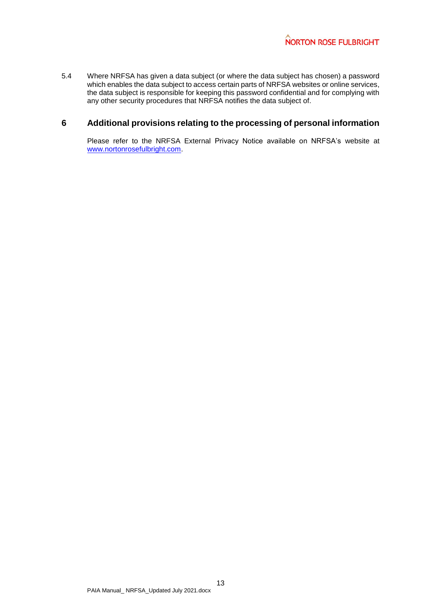5.4 Where NRFSA has given a data subject (or where the data subject has chosen) a password which enables the data subject to access certain parts of NRFSA websites or online services, the data subject is responsible for keeping this password confidential and for complying with any other security procedures that NRFSA notifies the data subject of.

### **6 Additional provisions relating to the processing of personal information**

Please refer to the NRFSA External Privacy Notice available on NRFSA's website at [www.nortonrosefulbright.com.](http://www.nortonrosefulbright.com/)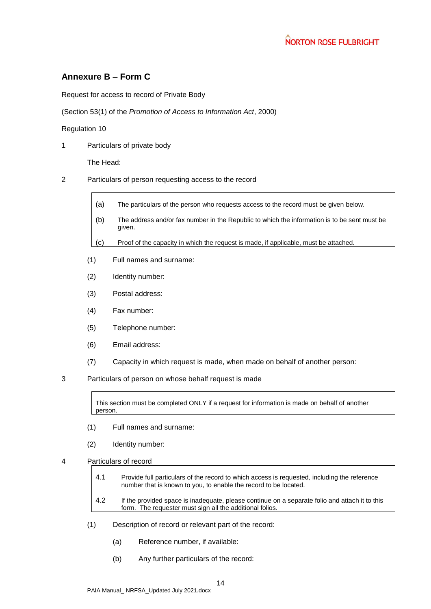# <span id="page-13-0"></span>**Annexure B – Form C**

Request for access to record of Private Body

(Section 53(1) of the *Promotion of Access to Information Act*, 2000)

Regulation 10

1 Particulars of private body

The Head:

- 2 Particulars of person requesting access to the record
	- (a) The particulars of the person who requests access to the record must be given below.
	- (b) The address and/or fax number in the Republic to which the information is to be sent must be given.
	- (c) Proof of the capacity in which the request is made, if applicable, must be attached.
	- (1) Full names and surname:
	- (2) Identity number:
	- (3) Postal address:
	- (4) Fax number:
	- (5) Telephone number:
	- (6) Email address:
	- (7) Capacity in which request is made, when made on behalf of another person:
- 3 Particulars of person on whose behalf request is made

This section must be completed ONLY if a request for information is made on behalf of another person.

- (1) Full names and surname:
- (2) Identity number:
- 4 Particulars of record
	- 4.1 Provide full particulars of the record to which access is requested, including the reference number that is known to you, to enable the record to be located.
	- 4.2 If the provided space is inadequate, please continue on a separate folio and attach it to this form. The requester must sign all the additional folios.
	- (1) Description of record or relevant part of the record:
		- (a) Reference number, if available:
		- (b) Any further particulars of the record: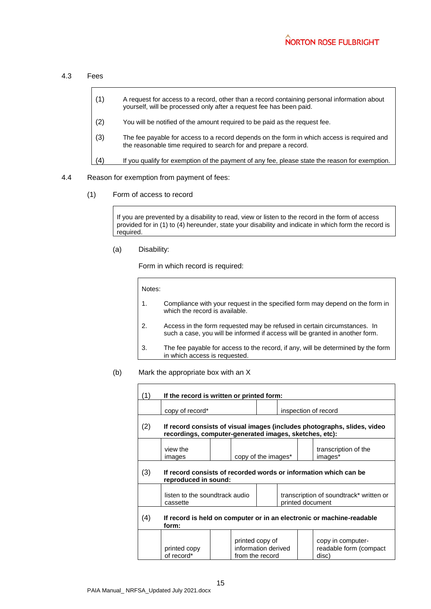4.3 Fees

| (1) | A request for access to a record, other than a record containing personal information about<br>yourself, will be processed only after a request fee has been paid. |
|-----|--------------------------------------------------------------------------------------------------------------------------------------------------------------------|
| (2) | You will be notified of the amount required to be paid as the request fee.                                                                                         |
| (3) | The fee payable for access to a record depends on the form in which access is required and<br>the reasonable time required to search for and prepare a record.     |
| (4) | If you qualify for exemption of the payment of any fee, please state the reason for exemption.                                                                     |
|     |                                                                                                                                                                    |

- 4.4 Reason for exemption from payment of fees:
	- (1) Form of access to record

If you are prevented by a disability to read, view or listen to the record in the form of access provided for in (1) to (4) hereunder, state your disability and indicate in which form the record is required.

(a) Disability:

Form in which record is required:

Notes:

1. Compliance with your request in the specified form may depend on the form in which the record is available. 2. Access in the form requested may be refused in certain circumstances. In such a case, you will be informed if access will be granted in another form. 3. The fee payable for access to the record, if any, will be determined by the form in which access is requested.

#### (b) Mark the appropriate box with an X

| (1) | If the record is written or printed form:                                                                                          |  |                                                           |                                                             |                      |  |                                                      |  |
|-----|------------------------------------------------------------------------------------------------------------------------------------|--|-----------------------------------------------------------|-------------------------------------------------------------|----------------------|--|------------------------------------------------------|--|
|     | copy of record*                                                                                                                    |  |                                                           |                                                             | inspection of record |  |                                                      |  |
| (2) | If record consists of visual images (includes photographs, slides, video<br>recordings, computer-generated images, sketches, etc): |  |                                                           |                                                             |                      |  |                                                      |  |
|     | view the<br>images                                                                                                                 |  | copy of the images*                                       |                                                             |                      |  | transcription of the<br>images*                      |  |
| (3) | If record consists of recorded words or information which can be<br>reproduced in sound:                                           |  |                                                           |                                                             |                      |  |                                                      |  |
|     | listen to the soundtrack audio<br>cassette                                                                                         |  |                                                           | transcription of soundtrack* written or<br>printed document |                      |  |                                                      |  |
| (4) | If record is held on computer or in an electronic or machine-readable<br>form:                                                     |  |                                                           |                                                             |                      |  |                                                      |  |
|     | printed copy<br>of record*                                                                                                         |  | printed copy of<br>information derived<br>from the record |                                                             |                      |  | copy in computer-<br>readable form (compact<br>disc) |  |